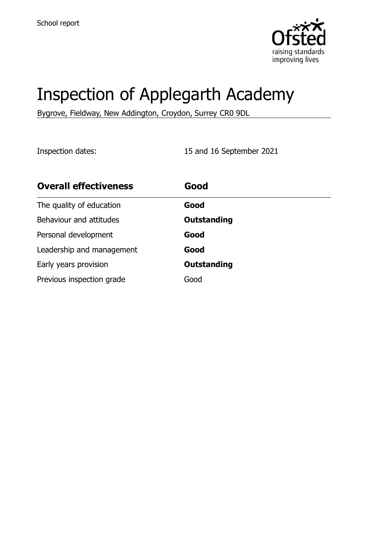

# Inspection of Applegarth Academy

Bygrove, Fieldway, New Addington, Croydon, Surrey CR0 9DL

Inspection dates: 15 and 16 September 2021

| <b>Overall effectiveness</b> | Good               |
|------------------------------|--------------------|
| The quality of education     | Good               |
| Behaviour and attitudes      | <b>Outstanding</b> |
| Personal development         | Good               |
| Leadership and management    | Good               |
| Early years provision        | <b>Outstanding</b> |
| Previous inspection grade    | Good               |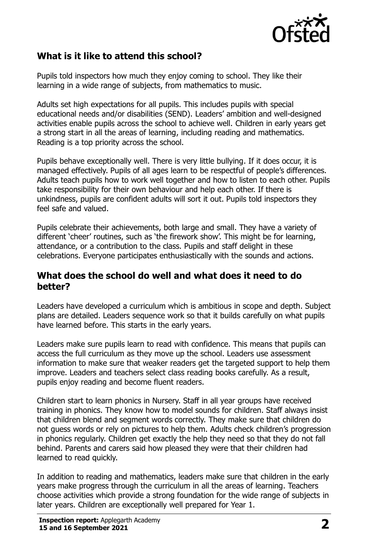

# **What is it like to attend this school?**

Pupils told inspectors how much they enjoy coming to school. They like their learning in a wide range of subjects, from mathematics to music.

Adults set high expectations for all pupils. This includes pupils with special educational needs and/or disabilities (SEND). Leaders' ambition and well-designed activities enable pupils across the school to achieve well. Children in early years get a strong start in all the areas of learning, including reading and mathematics. Reading is a top priority across the school.

Pupils behave exceptionally well. There is very little bullying. If it does occur, it is managed effectively. Pupils of all ages learn to be respectful of people's differences. Adults teach pupils how to work well together and how to listen to each other. Pupils take responsibility for their own behaviour and help each other. If there is unkindness, pupils are confident adults will sort it out. Pupils told inspectors they feel safe and valued.

Pupils celebrate their achievements, both large and small. They have a variety of different 'cheer' routines, such as 'the firework show'. This might be for learning, attendance, or a contribution to the class. Pupils and staff delight in these celebrations. Everyone participates enthusiastically with the sounds and actions.

## **What does the school do well and what does it need to do better?**

Leaders have developed a curriculum which is ambitious in scope and depth. Subject plans are detailed. Leaders sequence work so that it builds carefully on what pupils have learned before. This starts in the early years.

Leaders make sure pupils learn to read with confidence. This means that pupils can access the full curriculum as they move up the school. Leaders use assessment information to make sure that weaker readers get the targeted support to help them improve. Leaders and teachers select class reading books carefully. As a result, pupils enjoy reading and become fluent readers.

Children start to learn phonics in Nursery. Staff in all year groups have received training in phonics. They know how to model sounds for children. Staff always insist that children blend and segment words correctly. They make sure that children do not guess words or rely on pictures to help them. Adults check children's progression in phonics regularly. Children get exactly the help they need so that they do not fall behind. Parents and carers said how pleased they were that their children had learned to read quickly.

In addition to reading and mathematics, leaders make sure that children in the early years make progress through the curriculum in all the areas of learning. Teachers choose activities which provide a strong foundation for the wide range of subjects in later years. Children are exceptionally well prepared for Year 1.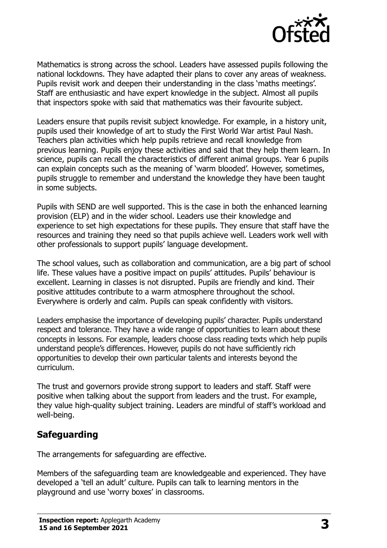

Mathematics is strong across the school. Leaders have assessed pupils following the national lockdowns. They have adapted their plans to cover any areas of weakness. Pupils revisit work and deepen their understanding in the class 'maths meetings'. Staff are enthusiastic and have expert knowledge in the subject. Almost all pupils that inspectors spoke with said that mathematics was their favourite subject.

Leaders ensure that pupils revisit subject knowledge. For example, in a history unit, pupils used their knowledge of art to study the First World War artist Paul Nash. Teachers plan activities which help pupils retrieve and recall knowledge from previous learning. Pupils enjoy these activities and said that they help them learn. In science, pupils can recall the characteristics of different animal groups. Year 6 pupils can explain concepts such as the meaning of 'warm blooded'. However, sometimes, pupils struggle to remember and understand the knowledge they have been taught in some subjects.

Pupils with SEND are well supported. This is the case in both the enhanced learning provision (ELP) and in the wider school. Leaders use their knowledge and experience to set high expectations for these pupils. They ensure that staff have the resources and training they need so that pupils achieve well. Leaders work well with other professionals to support pupils' language development.

The school values, such as collaboration and communication, are a big part of school life. These values have a positive impact on pupils' attitudes. Pupils' behaviour is excellent. Learning in classes is not disrupted. Pupils are friendly and kind. Their positive attitudes contribute to a warm atmosphere throughout the school. Everywhere is orderly and calm. Pupils can speak confidently with visitors.

Leaders emphasise the importance of developing pupils' character. Pupils understand respect and tolerance. They have a wide range of opportunities to learn about these concepts in lessons. For example, leaders choose class reading texts which help pupils understand people's differences. However, pupils do not have sufficiently rich opportunities to develop their own particular talents and interests beyond the curriculum.

The trust and governors provide strong support to leaders and staff. Staff were positive when talking about the support from leaders and the trust. For example, they value high-quality subject training. Leaders are mindful of staff's workload and well-being.

# **Safeguarding**

The arrangements for safeguarding are effective.

Members of the safeguarding team are knowledgeable and experienced. They have developed a 'tell an adult' culture. Pupils can talk to learning mentors in the playground and use 'worry boxes' in classrooms.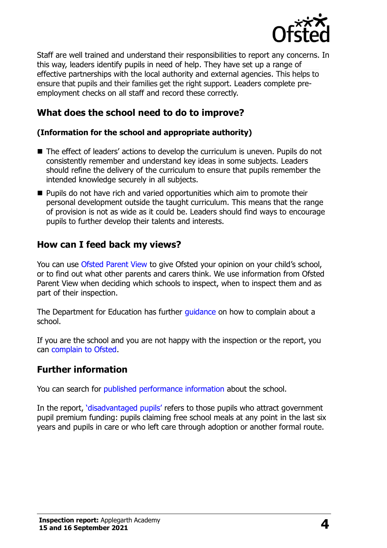

Staff are well trained and understand their responsibilities to report any concerns. In this way, leaders identify pupils in need of help. They have set up a range of effective partnerships with the local authority and external agencies. This helps to ensure that pupils and their families get the right support. Leaders complete preemployment checks on all staff and record these correctly.

# **What does the school need to do to improve?**

#### **(Information for the school and appropriate authority)**

- The effect of leaders' actions to develop the curriculum is uneven. Pupils do not consistently remember and understand key ideas in some subjects. Leaders should refine the delivery of the curriculum to ensure that pupils remember the intended knowledge securely in all subjects.
- Pupils do not have rich and varied opportunities which aim to promote their personal development outside the taught curriculum. This means that the range of provision is not as wide as it could be. Leaders should find ways to encourage pupils to further develop their talents and interests.

### **How can I feed back my views?**

You can use [Ofsted Parent View](http://parentview.ofsted.gov.uk/) to give Ofsted your opinion on your child's school, or to find out what other parents and carers think. We use information from Ofsted Parent View when deciding which schools to inspect, when to inspect them and as part of their inspection.

The Department for Education has further [guidance](http://www.gov.uk/complain-about-school) on how to complain about a school.

If you are the school and you are not happy with the inspection or the report, you can [complain to Ofsted.](http://www.gov.uk/complain-ofsted-report)

### **Further information**

You can search for [published performance information](http://www.compare-school-performance.service.gov.uk/) about the school.

In the report, '[disadvantaged pupils](http://www.gov.uk/guidance/pupil-premium-information-for-schools-and-alternative-provision-settings)' refers to those pupils who attract government pupil premium funding: pupils claiming free school meals at any point in the last six years and pupils in care or who left care through adoption or another formal route.

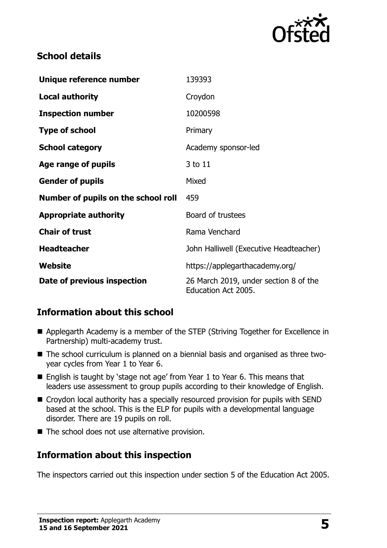

# **School details**

| Unique reference number             | 139393                                                       |
|-------------------------------------|--------------------------------------------------------------|
| <b>Local authority</b>              | Croydon                                                      |
| <b>Inspection number</b>            | 10200598                                                     |
| <b>Type of school</b>               | Primary                                                      |
| <b>School category</b>              | Academy sponsor-led                                          |
| Age range of pupils                 | 3 to 11                                                      |
| <b>Gender of pupils</b>             | Mixed                                                        |
| Number of pupils on the school roll | 459                                                          |
| <b>Appropriate authority</b>        | Board of trustees                                            |
| <b>Chair of trust</b>               | Rama Venchard                                                |
| <b>Headteacher</b>                  | John Halliwell (Executive Headteacher)                       |
| Website                             | https://applegarthacademy.org/                               |
| Date of previous inspection         | 26 March 2019, under section 8 of the<br>Education Act 2005. |

# **Information about this school**

- Applegarth Academy is a member of the STEP (Striving Together for Excellence in Partnership) multi-academy trust.
- The school curriculum is planned on a biennial basis and organised as three twoyear cycles from Year 1 to Year 6.
- English is taught by 'stage not age' from Year 1 to Year 6. This means that leaders use assessment to group pupils according to their knowledge of English.
- Croydon local authority has a specially resourced provision for pupils with SEND based at the school. This is the ELP for pupils with a developmental language disorder. There are 19 pupils on roll.
- The school does not use alternative provision.

# **Information about this inspection**

The inspectors carried out this inspection under section 5 of the Education Act 2005.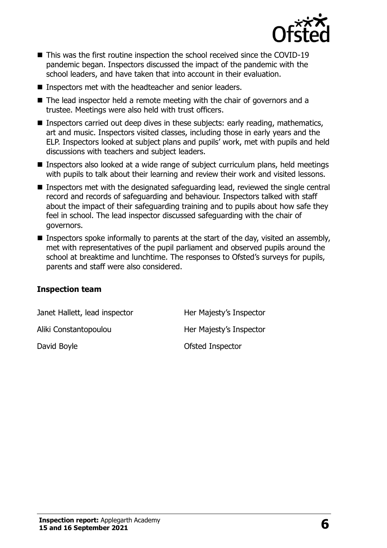

- This was the first routine inspection the school received since the COVID-19 pandemic began. Inspectors discussed the impact of the pandemic with the school leaders, and have taken that into account in their evaluation.
- Inspectors met with the headteacher and senior leaders.
- The lead inspector held a remote meeting with the chair of governors and a trustee. Meetings were also held with trust officers.
- Inspectors carried out deep dives in these subjects: early reading, mathematics, art and music. Inspectors visited classes, including those in early years and the ELP. Inspectors looked at subject plans and pupils' work, met with pupils and held discussions with teachers and subject leaders.
- Inspectors also looked at a wide range of subject curriculum plans, held meetings with pupils to talk about their learning and review their work and visited lessons.
- Inspectors met with the designated safeguarding lead, reviewed the single central record and records of safeguarding and behaviour. Inspectors talked with staff about the impact of their safeguarding training and to pupils about how safe they feel in school. The lead inspector discussed safeguarding with the chair of governors.
- Inspectors spoke informally to parents at the start of the day, visited an assembly, met with representatives of the pupil parliament and observed pupils around the school at breaktime and lunchtime. The responses to Ofsted's surveys for pupils, parents and staff were also considered.

#### **Inspection team**

| Janet Hallett, lead inspector | Her Majesty's Inspector |
|-------------------------------|-------------------------|
| Aliki Constantopoulou         | Her Majesty's Inspector |
| David Boyle                   | Ofsted Inspector        |